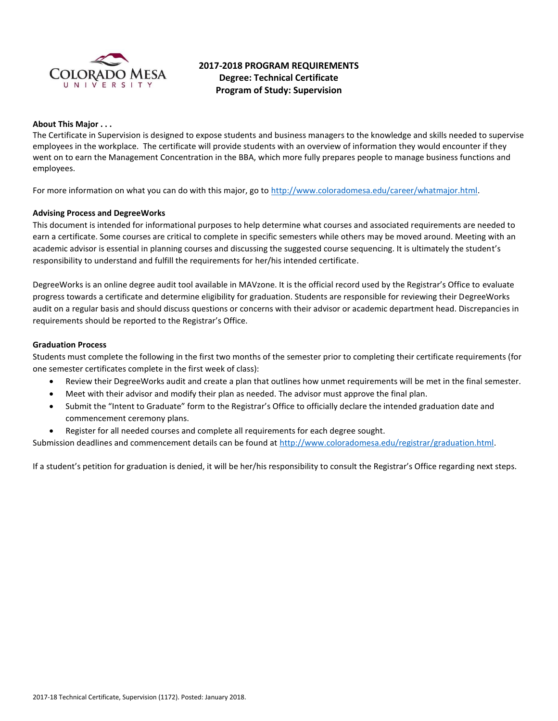

# **2017-2018 PROGRAM REQUIREMENTS Degree: Technical Certificate Program of Study: Supervision**

#### **About This Major . . .**

The Certificate in Supervision is designed to expose students and business managers to the knowledge and skills needed to supervise employees in the workplace. The certificate will provide students with an overview of information they would encounter if they went on to earn the Management Concentration in the BBA, which more fully prepares people to manage business functions and employees.

For more information on what you can do with this major, go to [http://www.coloradomesa.edu/career/whatmajor.html.](http://www.coloradomesa.edu/career/whatmajor.html)

### **Advising Process and DegreeWorks**

This document is intended for informational purposes to help determine what courses and associated requirements are needed to earn a certificate. Some courses are critical to complete in specific semesters while others may be moved around. Meeting with an academic advisor is essential in planning courses and discussing the suggested course sequencing. It is ultimately the student's responsibility to understand and fulfill the requirements for her/his intended certificate.

DegreeWorks is an online degree audit tool available in MAVzone. It is the official record used by the Registrar's Office to evaluate progress towards a certificate and determine eligibility for graduation. Students are responsible for reviewing their DegreeWorks audit on a regular basis and should discuss questions or concerns with their advisor or academic department head. Discrepancies in requirements should be reported to the Registrar's Office.

#### **Graduation Process**

Students must complete the following in the first two months of the semester prior to completing their certificate requirements (for one semester certificates complete in the first week of class):

- Review their DegreeWorks audit and create a plan that outlines how unmet requirements will be met in the final semester.
- Meet with their advisor and modify their plan as needed. The advisor must approve the final plan.
- Submit the "Intent to Graduate" form to the Registrar's Office to officially declare the intended graduation date and commencement ceremony plans.
- Register for all needed courses and complete all requirements for each degree sought.

Submission deadlines and commencement details can be found at [http://www.coloradomesa.edu/registrar/graduation.html.](http://www.coloradomesa.edu/registrar/graduation.html)

If a student's petition for graduation is denied, it will be her/his responsibility to consult the Registrar's Office regarding next steps.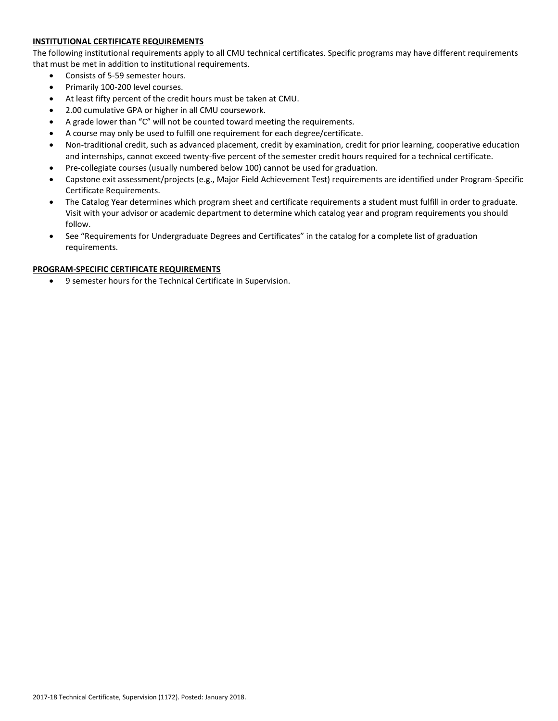# **INSTITUTIONAL CERTIFICATE REQUIREMENTS**

The following institutional requirements apply to all CMU technical certificates. Specific programs may have different requirements that must be met in addition to institutional requirements.

- Consists of 5-59 semester hours.
- Primarily 100-200 level courses.
- At least fifty percent of the credit hours must be taken at CMU.
- 2.00 cumulative GPA or higher in all CMU coursework.
- A grade lower than "C" will not be counted toward meeting the requirements.
- A course may only be used to fulfill one requirement for each degree/certificate.
- Non-traditional credit, such as advanced placement, credit by examination, credit for prior learning, cooperative education and internships, cannot exceed twenty-five percent of the semester credit hours required for a technical certificate.
- Pre-collegiate courses (usually numbered below 100) cannot be used for graduation.
- Capstone exit assessment/projects (e.g., Major Field Achievement Test) requirements are identified under Program-Specific Certificate Requirements.
- The Catalog Year determines which program sheet and certificate requirements a student must fulfill in order to graduate. Visit with your advisor or academic department to determine which catalog year and program requirements you should follow.
- See "Requirements for Undergraduate Degrees and Certificates" in the catalog for a complete list of graduation requirements.

## **PROGRAM-SPECIFIC CERTIFICATE REQUIREMENTS**

9 semester hours for the Technical Certificate in Supervision.